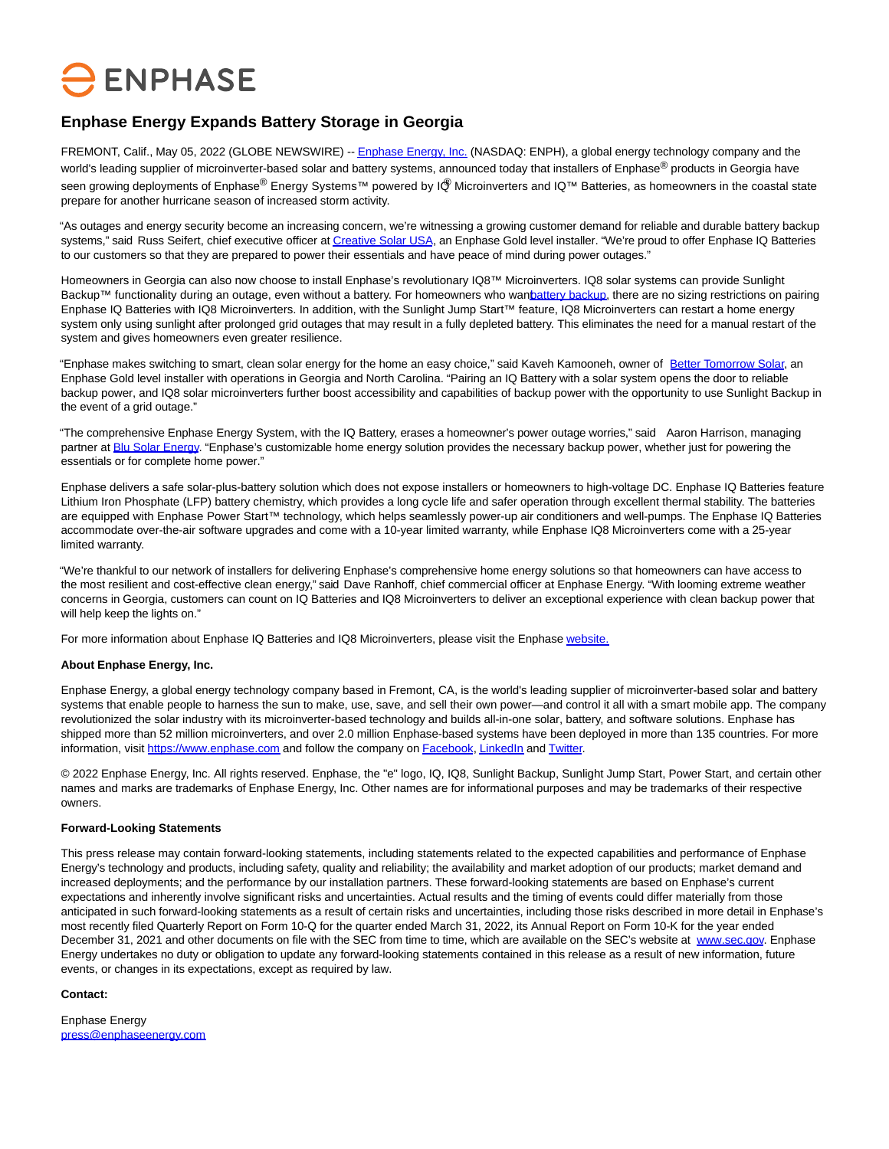# **ENPHASE**

## **Enphase Energy Expands Battery Storage in Georgia**

FREMONT, Calif., May 05, 2022 (GLOBE NEWSWIRE) -[- Enphase Energy, Inc. \(](https://www.globenewswire.com/Tracker?data=dJnVd_HQWuJuR-TOJX2Woe5GeHrNAtNNvlQxwbouT9OfcNaqHnzFfnWo0dz1VEqfZGKMrZ7-J7QoUwxjt0QB7kto2grsYVwDtDI5VFV_u-I=)NASDAQ: ENPH), a global energy technology company and the world's leading supplier of microinverter-based solar and battery systems, announced today that installers of Enphase<sup>®</sup> products in Georgia have seen growing deployments of Enphase® Energy Systems™ powered by IQ® Microinverters and IQ™ Batteries, as homeowners in the coastal state prepare for another hurricane season of increased storm activity.

"As outages and energy security become an increasing concern, we're witnessing a growing customer demand for reliable and durable battery backup systems," said Russ Seifert, chief executive officer a[t Creative Solar USA,](https://www.globenewswire.com/Tracker?data=QU9hOBQFuZzh1bLfj7gWPU_gZZFWaf8dt1eRhRgvDArpNM_K_ogV2cgGRi9YlvV098bo7BXMPpL71VY6z-Gf715vRtLJZwTRjczu5gDaP4w=) an Enphase Gold level installer. "We're proud to offer Enphase IQ Batteries to our customers so that they are prepared to power their essentials and have peace of mind during power outages."

Homeowners in Georgia can also now choose to install Enphase's revolutionary IQ8™ Microinverters. IQ8 solar systems can provide Sunlight Backup™ functionality during an outage, even without a battery. For homeowners who wanbattery backup, there are no sizing restrictions on pairing Enphase IQ Batteries with IQ8 Microinverters. In addition, with the Sunlight Jump Start™ feature, IQ8 Microinverters can restart a home energy system only using sunlight after prolonged grid outages that may result in a fully depleted battery. This eliminates the need for a manual restart of the system and gives homeowners even greater resilience.

"Enphase makes switching to smart, clean solar energy for the home an easy choice," said Kaveh Kamooneh, owner of [Better Tomorrow Solar,](https://www.globenewswire.com/Tracker?data=UWAcBeyZa6C3wi5ufe9pgXaA_lRkGAt_L2fTz7j57YrzBAiOtTuajYg9KIVQAvvVqkghrwdIE5jzewudviBANvSxypMzmu7XUS9r3lJ6K_I=) an Enphase Gold level installer with operations in Georgia and North Carolina. "Pairing an IQ Battery with a solar system opens the door to reliable backup power, and IQ8 solar microinverters further boost accessibility and capabilities of backup power with the opportunity to use Sunlight Backup in the event of a grid outage."

"The comprehensive Enphase Energy System, with the IQ Battery, erases a homeowner's power outage worries," said Aaron Harrison, managing partner a[t Blu Solar Energy.](https://www.globenewswire.com/Tracker?data=M2TZCPvxVSevIC7u0OZNiCcqiMVXTal7YqiZ2rdlfVttC5jjcwzZs8TAeyR8e7ZxnM9pVo4XNnJZvuVJ5ZwB25-bRTX9YuIseorwgj9cBwA=) "Enphase's customizable home energy solution provides the necessary backup power, whether just for powering the essentials or for complete home power."

Enphase delivers a safe solar-plus-battery solution which does not expose installers or homeowners to high-voltage DC. Enphase IQ Batteries feature Lithium Iron Phosphate (LFP) battery chemistry, which provides a long cycle life and safer operation through excellent thermal stability. The batteries are equipped with Enphase Power Start™ technology, which helps seamlessly power-up air conditioners and well-pumps. The Enphase IQ Batteries accommodate over-the-air software upgrades and come with a 10-year limited warranty, while Enphase IQ8 Microinverters come with a 25-year limited warranty.

"We're thankful to our network of installers for delivering Enphase's comprehensive home energy solutions so that homeowners can have access to the most resilient and cost-effective clean energy," said Dave Ranhoff, chief commercial officer at Enphase Energy. "With looming extreme weather concerns in Georgia, customers can count on IQ Batteries and IQ8 Microinverters to deliver an exceptional experience with clean backup power that will help keep the lights on."

For more information about Enphase IQ Batteries and IQ8 Microinverters, please visit the Enphas[e website.](https://www.globenewswire.com/Tracker?data=iQ7AkjmSIM33xICpbwlITELfYs2VtnR2pCWxcHxEGPxwNI_fYBkYFxawBGuWodmTHiwyfRdP_enoQKQPHNLNaA==)

#### **About Enphase Energy, Inc.**

Enphase Energy, a global energy technology company based in Fremont, CA, is the world's leading supplier of microinverter-based solar and battery systems that enable people to harness the sun to make, use, save, and sell their own power—and control it all with a smart mobile app. The company revolutionized the solar industry with its microinverter-based technology and builds all-in-one solar, battery, and software solutions. Enphase has shipped more than 52 million microinverters, and over 2.0 million Enphase-based systems have been deployed in more than 135 countries. For more information, visit [https://www.enphase.com a](https://www.globenewswire.com/Tracker?data=D_jcckHHCLu-N_XkwXsymzTY4COQE5r8PY55CvgnrddZ_Sl8dTFCJiQuSlvPkRLIN44aTP8r0F-QXSYVJca5X3ZgjliCx7urcLMRxC6QJUoWnLn4ZmOTWHVwXcdFcMQPmHCdskbHpTgTudheYG9ujq2_4FfsbKqtSU49tRyVxKb3X_lwQPWMPD--i-U7pHhioMpW3FEKzRqKLSkY3SJezSn90bucB37HMY36it43fHdNPws6eEx-6LXYk882THuoAT4_wQonAlrkPd8akBQD4Q==)nd follow the company o[n Facebook,](https://www.globenewswire.com/Tracker?data=B-Cz6wFurco_tsWfEsCKI0Mw362ShBloiKazkwTzngHgqQqulVkIuMzvnwOdWZB7iTHPZTS-MotPDztNdGhQSobWdDjhiDw2b2lXJ6mY_xswJWlCrz5xCdldvq6Ba6_tt0xsldKQmhCeJxntzbi9eDebqQDA_bqaUPRX7lJ_OUDDo2Ej8Ip3DzHg_1bMMjA9bfXUZbNyWEsgVhdt3Z97H_OrjUxeVfqLaD4PemobP6xDBVvRuOniaDHnBrYPHVyXehR-erdeTh2BoYqaBf2bh3Iq_ZmyFYF95KQWiyisSxnRN4Tr8nAjr3JmWxh3LIhg-c1DNIMPqgOm5YJE0gCou6piq0rDqEjcvLd2c897w_jyArz_jvzk6umNF-R2AmY8BUjER-DEnW2AdPbWzw2-rKjAyLC5XO3dYZfFyAK7qZZBo3-alHFhGb10bT-k27VdzG3jGhedhV2tn3Es50NIYGGeToA2wpOz0RiApLzvNCNrTQvsfmSO5OB5lY9ZXoZkRdiiQ35sriHNaL5liId4TQBV2E7DxWEb5PwCFzI4xOBhgE60bdwMldSnhq0iZxvuuw2G06ZQ7lDgpVpFfQe7pruFSjY20zkH6KlAdR-_84_GvQRlC2q_I66ADMUJmR_BkoW4DuPvR0pDCIlQ8fIuiNd0jHL6d_UhagPPnDoGenyLQb3eOSxcQn8GuyWEfTKC) [LinkedIn a](https://www.globenewswire.com/Tracker?data=CavSGxSPh-n4X_363LpEkdyCJy2v6xH7CaH7si8c-9G8KOxeGQbeijZ7O270YSXZRCs4INB7FE9EbwTfJ66k22ZKfC28c0vpgHeCABLzVmHN-VL_AbpAf9MABohwZJwUIvcLsMjuh318o4HcewrltAJGhRY43fzPmoEhnwvZb-UEfSyzquRMQpIUW6Cy4i18jdp0c5UAx2to3Kk3XjS3qydLh5oRznBhWLchITJ0Zd7Iv7TNqoLM2JvbuHqvB4uwUo6DwlX6gyJwNlA_tNLj6ic4H1NsBIHvOMPZjGaoLzlRJa3jC43BDU3doSx1OdmqQ2JMECa1c_6iAQk1EnIJp2OTpFIByqWqqnN_yrw5JCcC8DyfvlRV0-TnQqHkMLAj0RnifjFkg3SVLBNTcvpPt8q11L_K_qe03GotZDH-IyXljOzgsy7tM_w2bo5w3q0SgFcA4eK3MRLFgWPfaE5hiGf51U4ZDsebrSvFh-eKD10w7YqNTeLgAzBZM7NPL9eAv0Af1DBF1Wq0_GgJCO7JaEXoaV8vAmZWVBUhXTTYG_ezEg3vCOqH9xuQEboJj-bjnTl7o6adlripc9_lvqH-upBdIMIZcigjPxydgW90q-o3wLOQwXoiFWKnLwsWmNLpHdaq7Oguq0Nffea8jHDa3vWy_-DZSy6S8V1siYNkhLIq_PVBkV13asbPPl_DUv4F)n[d Twitter.](https://www.globenewswire.com/Tracker?data=xTw0DaT0C1gX-A7hnlHBzE7dEN11NdTQ6jyJytI_bnpT9ufk21E0o9DUXAJ3C_cI4zlg49YFKqauZlNVNYibZ5WoYDRF6RJz5FIKl4uLGnRWU_wHRgRORkGuo0698RpMZ2Q9sHp-QjtMriFac90O2HNprj_36ov_xfSTA7YoLqt9NmjKdufNJpiRZ5WdOoETR12zkmw2En23MH6k0Gpy4oJuqRtxiap4BBTAkebTf-bonKt-e5Nb4jqkgaCIw4D9X0UE68CfbTPyyVqHHu8C-GRKdR2lVGeB2m2PYrqUxMiH99w9KJ3KD4wFH-d26EXzOGqSi5UqDZUUKmh2MFMKBhskiX50yRDW9K6t5MgI3Iohk0yE-zpuFqQZiKsbZ1GgXMfBTJ5Tz3gyGqvCO2Jg9DJ4mX4P7HF1VMq51lax4XAoVcz-hWJyWAN5ya4RSCaIZlvfAjP0p-IgCtKEv1JJeNOMANqmxOryMC9-yXID70alM8l4cJLa9FhIvFYQJHShnJgF2pNAXxap4uQ2FmzDlQPH-aI6jnkYpHnJ_nxmhtd0vongbzaSPG3uuhA6ellX5mzUKzKIrV6qXs2OZ0pYciRsMxJsbCR6LyJyLCWSkevDB3Ir-FsABBr3kC7A9r0VnWjqpilUGCrP13ud_g1goBSVJxo0xlIAuLns_Q_sqEQ=)

© 2022 Enphase Energy, Inc. All rights reserved. Enphase, the "e" logo, IQ, IQ8, Sunlight Backup, Sunlight Jump Start, Power Start, and certain other names and marks are trademarks of Enphase Energy, Inc. Other names are for informational purposes and may be trademarks of their respective owners.

### **Forward-Looking Statements**

This press release may contain forward-looking statements, including statements related to the expected capabilities and performance of Enphase Energy's technology and products, including safety, quality and reliability; the availability and market adoption of our products; market demand and increased deployments; and the performance by our installation partners. These forward-looking statements are based on Enphase's current expectations and inherently involve significant risks and uncertainties. Actual results and the timing of events could differ materially from those anticipated in such forward-looking statements as a result of certain risks and uncertainties, including those risks described in more detail in Enphase's most recently filed Quarterly Report on Form 10-Q for the quarter ended March 31, 2022, its Annual Report on Form 10-K for the year ended December 31, 2021 and other documents on file with the SEC from time to time, which are available on the SEC's website at [www.sec.gov.](https://www.globenewswire.com/Tracker?data=aIh-d1a80ZNDZMmTyVKHWPNekcNPt8CJlSzfOYzF-W8ac2EGysxpp192aYCAyOyLBnP8g90Z8g_CsBdPFJ50rQ==) Enphase Energy undertakes no duty or obligation to update any forward-looking statements contained in this release as a result of new information, future events, or changes in its expectations, except as required by law.

#### **Contact:**

Enphase Energy [press@enphaseenergy.com](https://www.globenewswire.com/Tracker?data=jQ6e4jgsHrz806vcaZhnBAfkbpWY_SBIXmLa7AjAz_7FEcWbOMPjAopC6MXG_Nc3in_tO85XZpFK2qOwXCPeVJYAl2PCUcToVjZGutcwamU=)